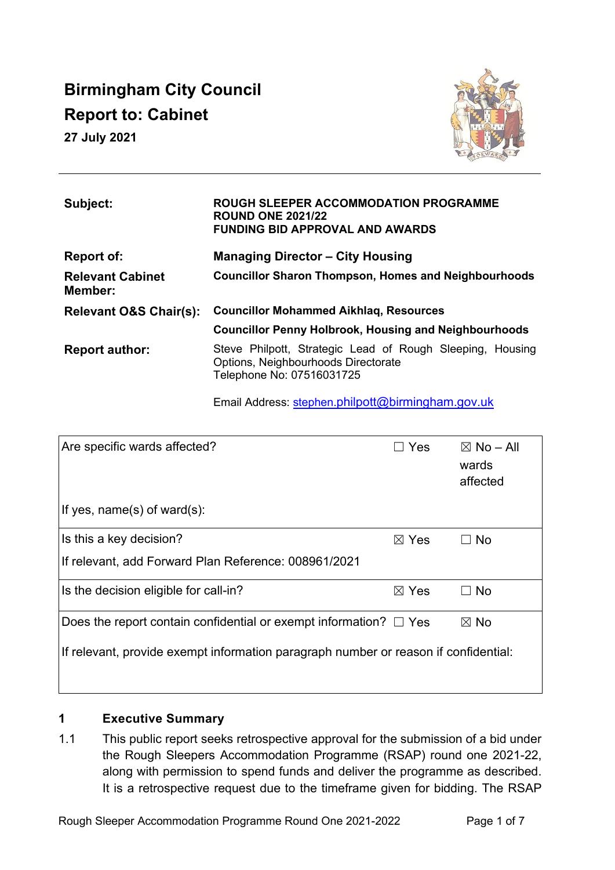# **Birmingham City Council Report to: Cabinet**

**27 July 2021**



| Subject:                           | <b>ROUGH SLEEPER ACCOMMODATION PROGRAMME</b><br><b>ROUND ONE 2021/22</b><br><b>FUNDING BID APPROVAL AND AWARDS</b>            |  |  |  |  |  |  |  |  |  |  |
|------------------------------------|-------------------------------------------------------------------------------------------------------------------------------|--|--|--|--|--|--|--|--|--|--|
| Report of:                         | <b>Managing Director - City Housing</b>                                                                                       |  |  |  |  |  |  |  |  |  |  |
| <b>Relevant Cabinet</b><br>Member: | <b>Councillor Sharon Thompson, Homes and Neighbourhoods</b>                                                                   |  |  |  |  |  |  |  |  |  |  |
| <b>Relevant O&amp;S Chair(s):</b>  | <b>Councillor Mohammed Aikhlag, Resources</b>                                                                                 |  |  |  |  |  |  |  |  |  |  |
|                                    | <b>Councillor Penny Holbrook, Housing and Neighbourhoods</b>                                                                  |  |  |  |  |  |  |  |  |  |  |
| <b>Report author:</b>              | Steve Philpott, Strategic Lead of Rough Sleeping, Housing<br>Options, Neighbourhoods Directorate<br>Telephone No: 07516031725 |  |  |  |  |  |  |  |  |  |  |

Email Address: [stephen.](mailto:stephen.philpott@birmingham.gov.uk)[philpott@birmingham.gov.uk](mailto:stephen.philpott@birmingham.gov.uk)

| Are specific wards affected?                                                        | Yes             | $\boxtimes$ No – All<br>wards<br>affected |  |  |  |  |  |  |  |
|-------------------------------------------------------------------------------------|-----------------|-------------------------------------------|--|--|--|--|--|--|--|
| If yes, $name(s)$ of ward $(s)$ :                                                   |                 |                                           |  |  |  |  |  |  |  |
| Is this a key decision?                                                             | $\boxtimes$ Yes | <b>No</b>                                 |  |  |  |  |  |  |  |
| If relevant, add Forward Plan Reference: 008961/2021                                |                 |                                           |  |  |  |  |  |  |  |
| Is the decision eligible for call-in?                                               | $\boxtimes$ Yes | <b>No</b>                                 |  |  |  |  |  |  |  |
| Does the report contain confidential or exempt information? $\Box$ Yes              |                 | $\boxtimes$ No                            |  |  |  |  |  |  |  |
| If relevant, provide exempt information paragraph number or reason if confidential: |                 |                                           |  |  |  |  |  |  |  |

# **1 Executive Summary**

1.1 This public report seeks retrospective approval for the submission of a bid under the Rough Sleepers Accommodation Programme (RSAP) round one 2021-22, along with permission to spend funds and deliver the programme as described. It is a retrospective request due to the timeframe given for bidding. The RSAP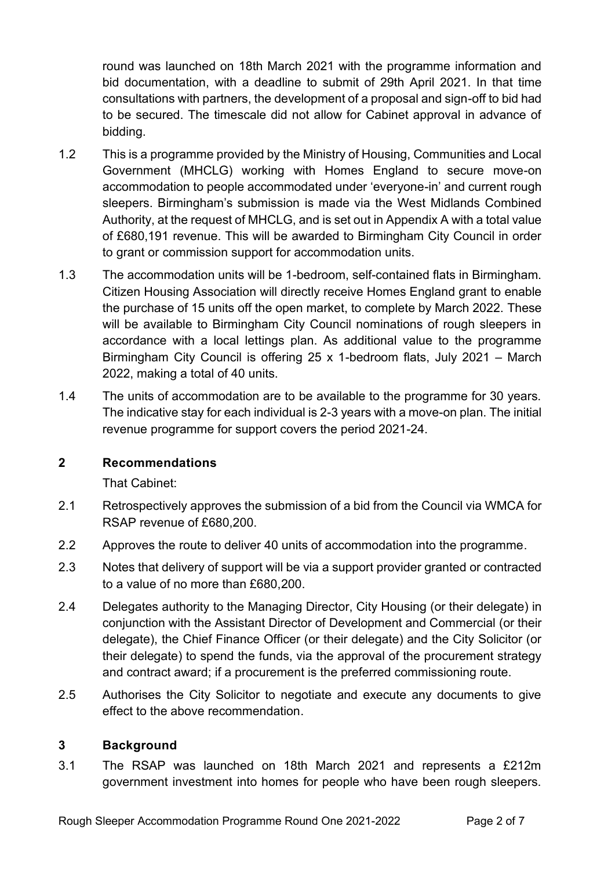round was launched on 18th March 2021 with the programme information and bid documentation, with a deadline to submit of 29th April 2021. In that time consultations with partners, the development of a proposal and sign-off to bid had to be secured. The timescale did not allow for Cabinet approval in advance of bidding.

- 1.2 This is a programme provided by the Ministry of Housing, Communities and Local Government (MHCLG) working with Homes England to secure move-on accommodation to people accommodated under 'everyone-in' and current rough sleepers. Birmingham's submission is made via the West Midlands Combined Authority, at the request of MHCLG, and is set out in Appendix A with a total value of £680,191 revenue. This will be awarded to Birmingham City Council in order to grant or commission support for accommodation units.
- 1.3 The accommodation units will be 1-bedroom, self-contained flats in Birmingham. Citizen Housing Association will directly receive Homes England grant to enable the purchase of 15 units off the open market, to complete by March 2022. These will be available to Birmingham City Council nominations of rough sleepers in accordance with a local lettings plan. As additional value to the programme Birmingham City Council is offering 25 x 1-bedroom flats, July 2021 – March 2022, making a total of 40 units.
- 1.4 The units of accommodation are to be available to the programme for 30 years. The indicative stay for each individual is 2-3 years with a move-on plan. The initial revenue programme for support covers the period 2021-24.

## **2 Recommendations**

That Cabinet:

- 2.1 Retrospectively approves the submission of a bid from the Council via WMCA for RSAP revenue of £680,200.
- 2.2 Approves the route to deliver 40 units of accommodation into the programme.
- 2.3 Notes that delivery of support will be via a support provider granted or contracted to a value of no more than £680,200.
- 2.4 Delegates authority to the Managing Director, City Housing (or their delegate) in conjunction with the Assistant Director of Development and Commercial (or their delegate), the Chief Finance Officer (or their delegate) and the City Solicitor (or their delegate) to spend the funds, via the approval of the procurement strategy and contract award; if a procurement is the preferred commissioning route.
- 2.5 Authorises the City Solicitor to negotiate and execute any documents to give effect to the above recommendation.

## **3 Background**

3.1 The RSAP was launched on 18th March 2021 and represents a £212m government investment into homes for people who have been rough sleepers.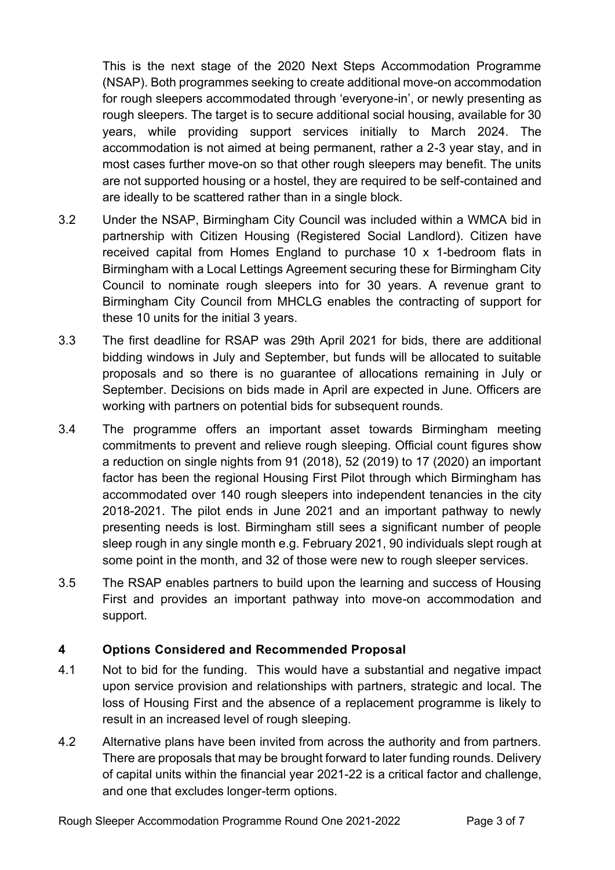This is the next stage of the 2020 Next Steps Accommodation Programme (NSAP). Both programmes seeking to create additional move-on accommodation for rough sleepers accommodated through 'everyone-in', or newly presenting as rough sleepers. The target is to secure additional social housing, available for 30 years, while providing support services initially to March 2024. The accommodation is not aimed at being permanent, rather a 2-3 year stay, and in most cases further move-on so that other rough sleepers may benefit. The units are not supported housing or a hostel, they are required to be self-contained and are ideally to be scattered rather than in a single block.

- 3.2 Under the NSAP, Birmingham City Council was included within a WMCA bid in partnership with Citizen Housing (Registered Social Landlord). Citizen have received capital from Homes England to purchase 10 x 1-bedroom flats in Birmingham with a Local Lettings Agreement securing these for Birmingham City Council to nominate rough sleepers into for 30 years. A revenue grant to Birmingham City Council from MHCLG enables the contracting of support for these 10 units for the initial 3 years.
- 3.3 The first deadline for RSAP was 29th April 2021 for bids, there are additional bidding windows in July and September, but funds will be allocated to suitable proposals and so there is no guarantee of allocations remaining in July or September. Decisions on bids made in April are expected in June. Officers are working with partners on potential bids for subsequent rounds.
- 3.4 The programme offers an important asset towards Birmingham meeting commitments to prevent and relieve rough sleeping. Official count figures show a reduction on single nights from 91 (2018), 52 (2019) to 17 (2020) an important factor has been the regional Housing First Pilot through which Birmingham has accommodated over 140 rough sleepers into independent tenancies in the city 2018-2021. The pilot ends in June 2021 and an important pathway to newly presenting needs is lost. Birmingham still sees a significant number of people sleep rough in any single month e.g. February 2021, 90 individuals slept rough at some point in the month, and 32 of those were new to rough sleeper services.
- 3.5 The RSAP enables partners to build upon the learning and success of Housing First and provides an important pathway into move-on accommodation and support.

# **4 Options Considered and Recommended Proposal**

- 4.1 Not to bid for the funding. This would have a substantial and negative impact upon service provision and relationships with partners, strategic and local. The loss of Housing First and the absence of a replacement programme is likely to result in an increased level of rough sleeping.
- 4.2 Alternative plans have been invited from across the authority and from partners. There are proposals that may be brought forward to later funding rounds. Delivery of capital units within the financial year 2021-22 is a critical factor and challenge, and one that excludes longer-term options.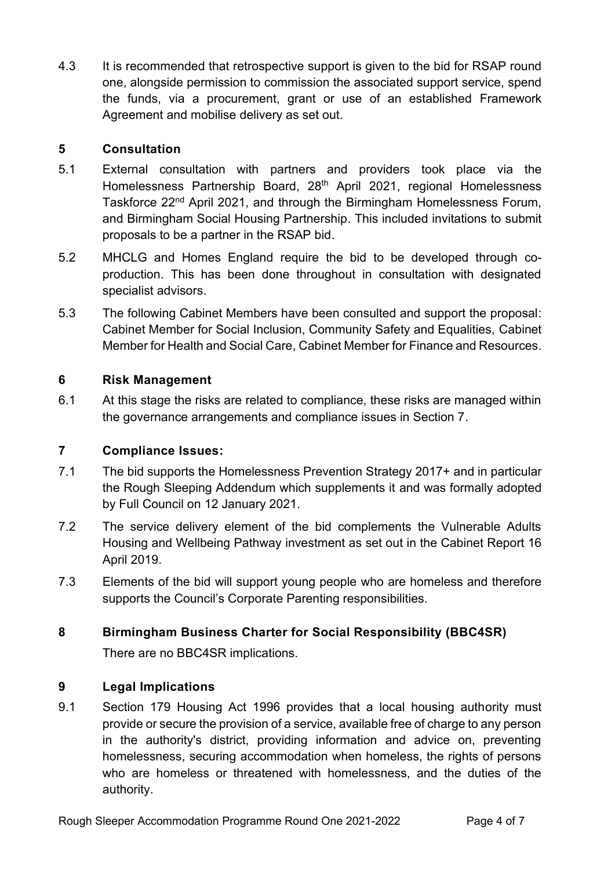4.3 It is recommended that retrospective support is given to the bid for RSAP round one, alongside permission to commission the associated support service, spend the funds, via a procurement, grant or use of an established Framework Agreement and mobilise delivery as set out.

## **5 Consultation**

- 5.1 External consultation with partners and providers took place via the Homelessness Partnership Board, 28<sup>th</sup> April 2021, regional Homelessness Taskforce 22nd April 2021, and through the Birmingham Homelessness Forum, and Birmingham Social Housing Partnership. This included invitations to submit proposals to be a partner in the RSAP bid.
- 5.2 MHCLG and Homes England require the bid to be developed through coproduction. This has been done throughout in consultation with designated specialist advisors.
- 5.3 The following Cabinet Members have been consulted and support the proposal: Cabinet Member for Social Inclusion, Community Safety and Equalities, Cabinet Member for Health and Social Care, Cabinet Member for Finance and Resources.

## **6 Risk Management**

6.1 At this stage the risks are related to compliance, these risks are managed within the governance arrangements and compliance issues in Section 7.

## **7 Compliance Issues:**

- 7.1 The bid supports the Homelessness Prevention Strategy 2017+ and in particular the Rough Sleeping Addendum which supplements it and was formally adopted by Full Council on 12 January 2021.
- 7.2 The service delivery element of the bid complements the Vulnerable Adults Housing and Wellbeing Pathway investment as set out in the Cabinet Report 16 April 2019.
- 7.3 Elements of the bid will support young people who are homeless and therefore supports the Council's Corporate Parenting responsibilities.

# **8 Birmingham Business Charter for Social Responsibility (BBC4SR)**

There are no BBC4SR implications.

# **9 Legal Implications**

9.1 Section 179 Housing Act 1996 provides that a local housing authority must provide or secure the provision of a service, available free of charge to any person in the authority's district, providing information and advice on, preventing homelessness, securing accommodation when homeless, the rights of persons who are homeless or threatened with homelessness, and the duties of the authority.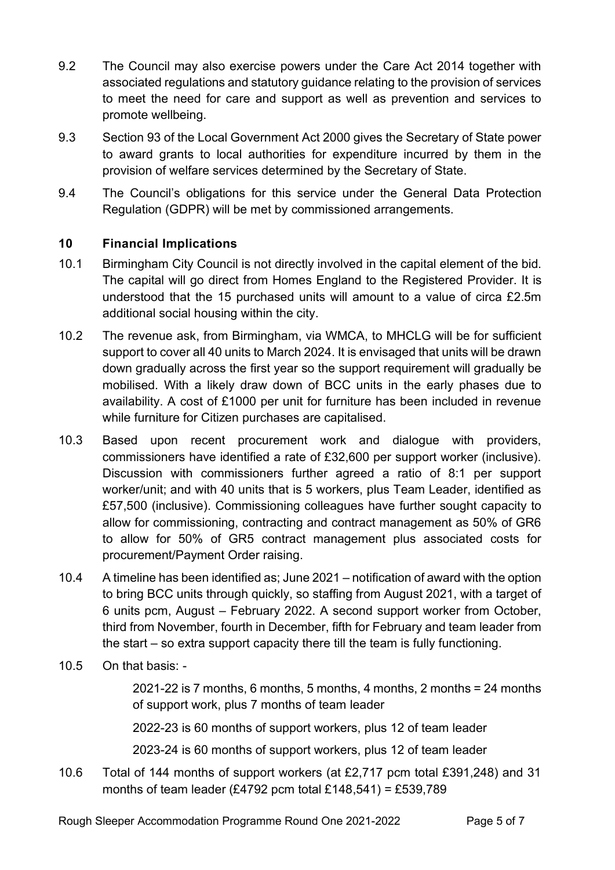- 9.2 The Council may also exercise powers under the Care Act 2014 together with associated regulations and statutory guidance relating to the provision of services to meet the need for care and support as well as prevention and services to promote wellbeing.
- 9.3 Section 93 of the Local Government Act 2000 gives the Secretary of State power to award grants to local authorities for expenditure incurred by them in the provision of welfare services determined by the Secretary of State.
- 9.4 The Council's obligations for this service under the General Data Protection Regulation (GDPR) will be met by commissioned arrangements.

## **10 Financial Implications**

- 10.1 Birmingham City Council is not directly involved in the capital element of the bid. The capital will go direct from Homes England to the Registered Provider. It is understood that the 15 purchased units will amount to a value of circa £2.5m additional social housing within the city.
- 10.2 The revenue ask, from Birmingham, via WMCA, to MHCLG will be for sufficient support to cover all 40 units to March 2024. It is envisaged that units will be drawn down gradually across the first year so the support requirement will gradually be mobilised. With a likely draw down of BCC units in the early phases due to availability. A cost of £1000 per unit for furniture has been included in revenue while furniture for Citizen purchases are capitalised.
- 10.3 Based upon recent procurement work and dialogue with providers, commissioners have identified a rate of £32,600 per support worker (inclusive). Discussion with commissioners further agreed a ratio of 8:1 per support worker/unit; and with 40 units that is 5 workers, plus Team Leader, identified as £57,500 (inclusive). Commissioning colleagues have further sought capacity to allow for commissioning, contracting and contract management as 50% of GR6 to allow for 50% of GR5 contract management plus associated costs for procurement/Payment Order raising.
- 10.4 A timeline has been identified as; June 2021 notification of award with the option to bring BCC units through quickly, so staffing from August 2021, with a target of 6 units pcm, August – February 2022. A second support worker from October, third from November, fourth in December, fifth for February and team leader from the start – so extra support capacity there till the team is fully functioning.
- 10.5 On that basis: -

2021-22 is 7 months, 6 months, 5 months, 4 months, 2 months = 24 months of support work, plus 7 months of team leader

2022-23 is 60 months of support workers, plus 12 of team leader

2023-24 is 60 months of support workers, plus 12 of team leader

10.6 Total of 144 months of support workers (at £2,717 pcm total £391,248) and 31 months of team leader (£4792 pcm total £148,541) = £539,789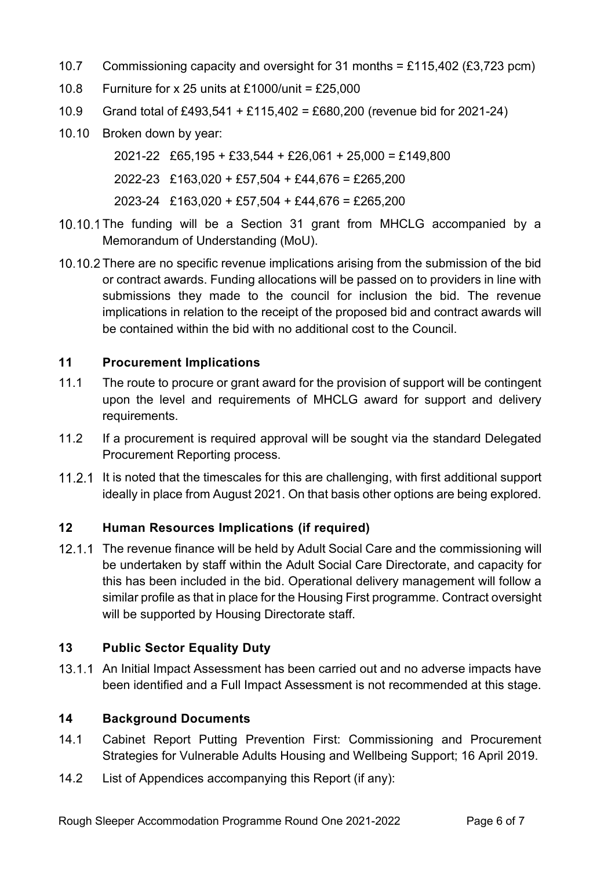- 10.7 Commissioning capacity and oversight for 31 months = £115,402 (£3,723 pcm)
- 10.8 Furniture for x 25 units at £1000/unit = £25,000
- 10.9 Grand total of £493,541 + £115,402 = £680,200 (revenue bid for 2021-24)
- 10.10 Broken down by year:

2021-22 £65,195 + £33,544 + £26,061 + 25,000 = £149,800

2022-23 £163,020 + £57,504 + £44,676 = £265,200

2023-24 £163,020 + £57,504 + £44,676 = £265,200

- 10.10.1 The funding will be a Section 31 grant from MHCLG accompanied by a Memorandum of Understanding (MoU).
- 10.10.2 There are no specific revenue implications arising from the submission of the bid or contract awards. Funding allocations will be passed on to providers in line with submissions they made to the council for inclusion the bid. The revenue implications in relation to the receipt of the proposed bid and contract awards will be contained within the bid with no additional cost to the Council.

#### **11 Procurement Implications**

- 11.1 The route to procure or grant award for the provision of support will be contingent upon the level and requirements of MHCLG award for support and delivery requirements.
- 11.2 If a procurement is required approval will be sought via the standard Delegated Procurement Reporting process.
- 11.2.1 It is noted that the timescales for this are challenging, with first additional support ideally in place from August 2021. On that basis other options are being explored.

## **12 Human Resources Implications (if required)**

12.1.1 The revenue finance will be held by Adult Social Care and the commissioning will be undertaken by staff within the Adult Social Care Directorate, and capacity for this has been included in the bid. Operational delivery management will follow a similar profile as that in place for the Housing First programme. Contract oversight will be supported by Housing Directorate staff.

## **13 Public Sector Equality Duty**

13.1.1 An Initial Impact Assessment has been carried out and no adverse impacts have been identified and a Full Impact Assessment is not recommended at this stage.

## **14 Background Documents**

- 14.1 Cabinet Report Putting Prevention First: Commissioning and Procurement Strategies for Vulnerable Adults Housing and Wellbeing Support; 16 April 2019.
- 14.2 List of Appendices accompanying this Report (if any):